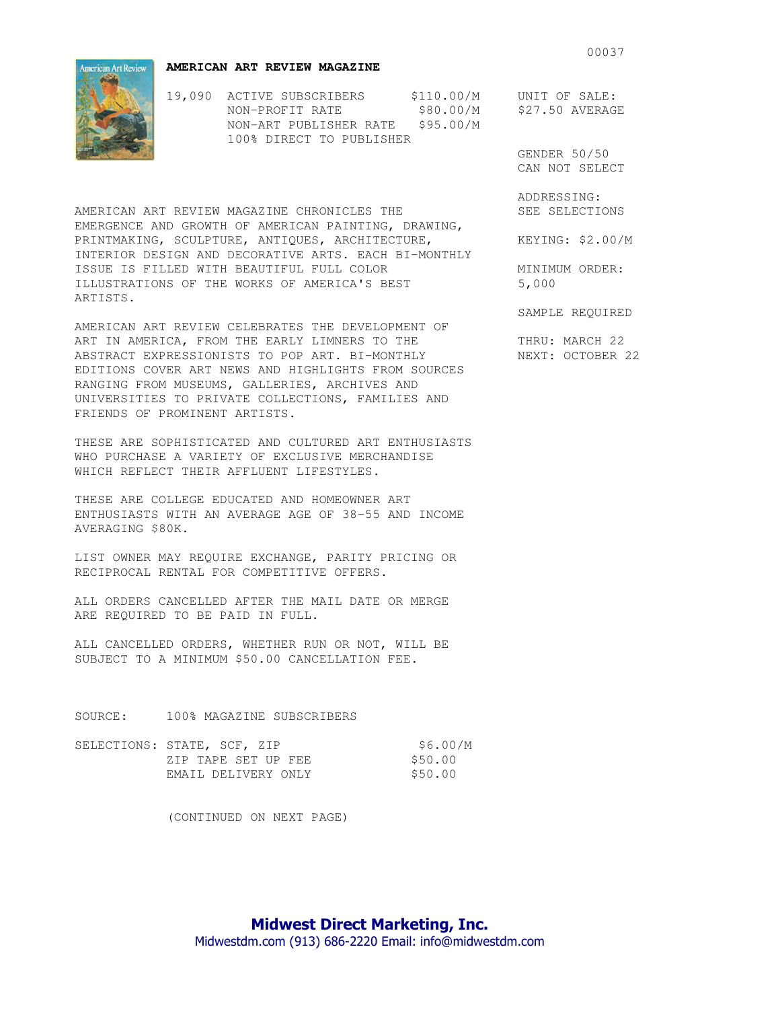**AMERICAN ART REVIEW MAGAZINE** 

19,090 ACTIVE SUBSCRIBERS \$110.00/M UNIT OF SALE: NON-PROFIT RATE \$80.00/M \$27.50 AVERAGE NON-ART PUBLISHER RATE \$95.00/M 100% DIRECT TO PUBLISHER

 GENDER 50/50 CAN NOT SELECT

ADDRESSING:

SAMPLE REQUIRED

AMERICAN ART REVIEW MAGAZINE CHRONICLES THE SEE SELECTIONS EMERGENCE AND GROWTH OF AMERICAN PAINTING, DRAWING, PRINTMAKING, SCULPTURE, ANTIOUES, ARCHITECTURE,  $KEYING: $2.00/M$ INTERIOR DESIGN AND DECORATIVE ARTS. EACH BI-MONTHLY ISSUE IS FILLED WITH BEAUTIFUL FULL COLOR MINIMUM ORDER:<br>ILLUSTRATIONS OF THE WORKS OF AMERICA'S BEST 5,000 ILLUSTRATIONS OF THE WORKS OF AMERICA'S BEST ARTISTS.

AMERICAN ART REVIEW CELEBRATES THE DEVELOPMENT OF ART IN AMERICA, FROM THE EARLY LIMNERS TO THE THRU: MARCH 22 ABSTRACT EXPRESSIONISTS TO POP ART. BI-MONTHLY NEXT: OCTOBER 22 EDITIONS COVER ART NEWS AND HIGHLIGHTS FROM SOURCES RANGING FROM MUSEUMS, GALLERIES, ARCHIVES AND UNIVERSITIES TO PRIVATE COLLECTIONS, FAMILIES AND FRIENDS OF PROMINENT ARTISTS.

THESE ARE SOPHISTICATED AND CULTURED ART ENTHUSIASTS WHO PURCHASE A VARIETY OF EXCLUSIVE MERCHANDISE WHICH REFLECT THEIR AFFLUENT LIFESTYLES.

THESE ARE COLLEGE EDUCATED AND HOMEOWNER ART ENTHUSIASTS WITH AN AVERAGE AGE OF 38-55 AND INCOME AVERAGING \$80K.

LIST OWNER MAY REQUIRE EXCHANGE, PARITY PRICING OR RECIPROCAL RENTAL FOR COMPETITIVE OFFERS.

ALL ORDERS CANCELLED AFTER THE MAIL DATE OR MERGE ARE REQUIRED TO BE PAID IN FULL.

ALL CANCELLED ORDERS, WHETHER RUN OR NOT, WILL BE SUBJECT TO A MINIMUM \$50.00 CANCELLATION FEE.

SOURCE: 100% MAGAZINE SUBSCRIBERS

| SELECTIONS: STATE, SCF, ZIP | \$6.00/M |
|-----------------------------|----------|
| ZIP TAPE SET UP FEE         | \$50.00  |
| EMAIL DELIVERY ONLY         | \$50.00  |

(CONTINUED ON NEXT PAGE)